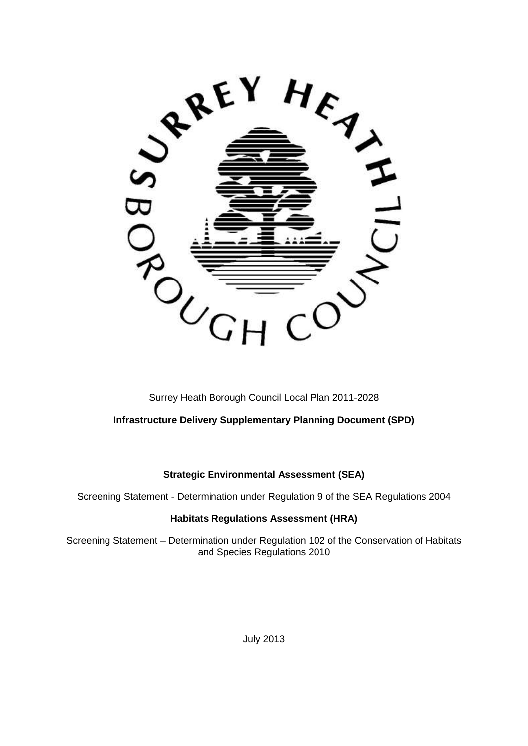

Surrey Heath Borough Council Local Plan 2011-2028

# **Infrastructure Delivery Supplementary Planning Document (SPD)**

# **Strategic Environmental Assessment (SEA)**

Screening Statement - Determination under Regulation 9 of the SEA Regulations 2004

## **Habitats Regulations Assessment (HRA)**

Screening Statement – Determination under Regulation 102 of the Conservation of Habitats and Species Regulations 2010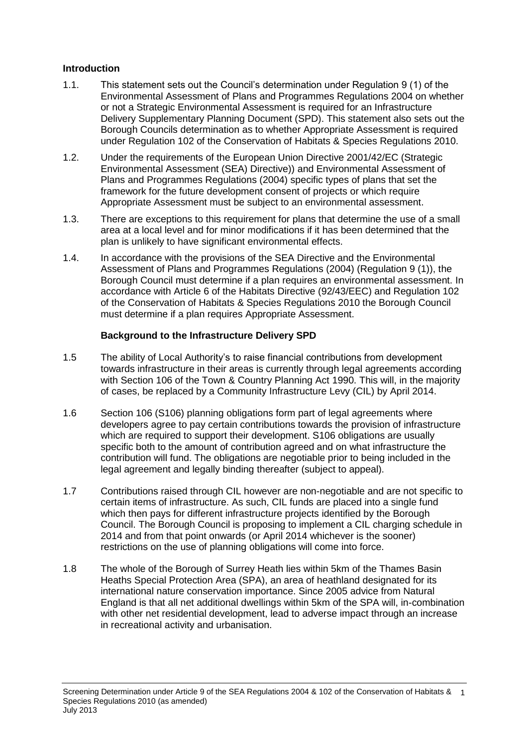#### **Introduction**

- 1.1. This statement sets out the Council's determination under Regulation 9 (1) of the Environmental Assessment of Plans and Programmes Regulations 2004 on whether or not a Strategic Environmental Assessment is required for an Infrastructure Delivery Supplementary Planning Document (SPD). This statement also sets out the Borough Councils determination as to whether Appropriate Assessment is required under Regulation 102 of the Conservation of Habitats & Species Regulations 2010.
- 1.2. Under the requirements of the European Union Directive 2001/42/EC (Strategic Environmental Assessment (SEA) Directive)) and Environmental Assessment of Plans and Programmes Regulations (2004) specific types of plans that set the framework for the future development consent of projects or which require Appropriate Assessment must be subject to an environmental assessment.
- 1.3. There are exceptions to this requirement for plans that determine the use of a small area at a local level and for minor modifications if it has been determined that the plan is unlikely to have significant environmental effects.
- 1.4. In accordance with the provisions of the SEA Directive and the Environmental Assessment of Plans and Programmes Regulations (2004) (Regulation 9 (1)), the Borough Council must determine if a plan requires an environmental assessment. In accordance with Article 6 of the Habitats Directive (92/43/EEC) and Regulation 102 of the Conservation of Habitats & Species Regulations 2010 the Borough Council must determine if a plan requires Appropriate Assessment.

#### **Background to the Infrastructure Delivery SPD**

- 1.5 The ability of Local Authority's to raise financial contributions from development towards infrastructure in their areas is currently through legal agreements according with Section 106 of the Town & Country Planning Act 1990. This will, in the majority of cases, be replaced by a Community Infrastructure Levy (CIL) by April 2014.
- 1.6 Section 106 (S106) planning obligations form part of legal agreements where developers agree to pay certain contributions towards the provision of infrastructure which are required to support their development. S106 obligations are usually specific both to the amount of contribution agreed and on what infrastructure the contribution will fund. The obligations are negotiable prior to being included in the legal agreement and legally binding thereafter (subject to appeal).
- 1.7 Contributions raised through CIL however are non-negotiable and are not specific to certain items of infrastructure. As such, CIL funds are placed into a single fund which then pays for different infrastructure projects identified by the Borough Council. The Borough Council is proposing to implement a CIL charging schedule in 2014 and from that point onwards (or April 2014 whichever is the sooner) restrictions on the use of planning obligations will come into force.
- 1.8 The whole of the Borough of Surrey Heath lies within 5km of the Thames Basin Heaths Special Protection Area (SPA), an area of heathland designated for its international nature conservation importance. Since 2005 advice from Natural England is that all net additional dwellings within 5km of the SPA will, in-combination with other net residential development, lead to adverse impact through an increase in recreational activity and urbanisation.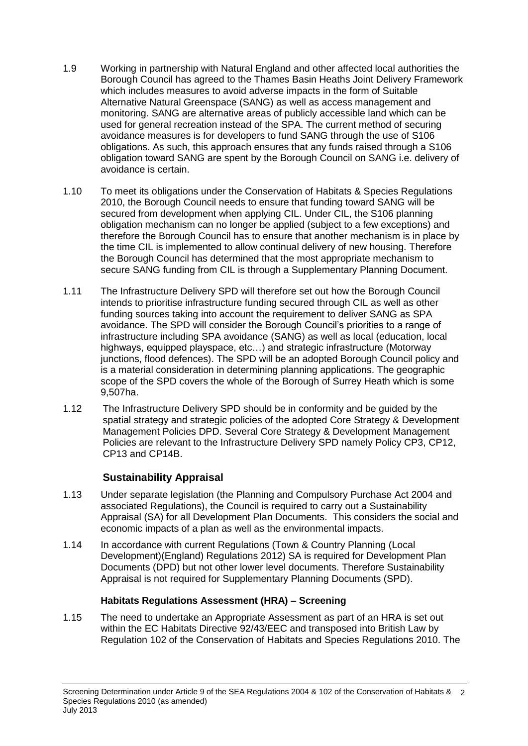- 1.9 Working in partnership with Natural England and other affected local authorities the Borough Council has agreed to the Thames Basin Heaths Joint Delivery Framework which includes measures to avoid adverse impacts in the form of Suitable Alternative Natural Greenspace (SANG) as well as access management and monitoring. SANG are alternative areas of publicly accessible land which can be used for general recreation instead of the SPA. The current method of securing avoidance measures is for developers to fund SANG through the use of S106 obligations. As such, this approach ensures that any funds raised through a S106 obligation toward SANG are spent by the Borough Council on SANG i.e. delivery of avoidance is certain.
- 1.10 To meet its obligations under the Conservation of Habitats & Species Regulations 2010, the Borough Council needs to ensure that funding toward SANG will be secured from development when applying CIL. Under CIL, the S106 planning obligation mechanism can no longer be applied (subject to a few exceptions) and therefore the Borough Council has to ensure that another mechanism is in place by the time CIL is implemented to allow continual delivery of new housing. Therefore the Borough Council has determined that the most appropriate mechanism to secure SANG funding from CIL is through a Supplementary Planning Document.
- 1.11 The Infrastructure Delivery SPD will therefore set out how the Borough Council intends to prioritise infrastructure funding secured through CIL as well as other funding sources taking into account the requirement to deliver SANG as SPA avoidance. The SPD will consider the Borough Council's priorities to a range of infrastructure including SPA avoidance (SANG) as well as local (education, local highways, equipped playspace, etc...) and strategic infrastructure (Motorway junctions, flood defences). The SPD will be an adopted Borough Council policy and is a material consideration in determining planning applications. The geographic scope of the SPD covers the whole of the Borough of Surrey Heath which is some 9,507ha.
- 1.12 The Infrastructure Delivery SPD should be in conformity and be guided by the spatial strategy and strategic policies of the adopted Core Strategy & Development Management Policies DPD. Several Core Strategy & Development Management Policies are relevant to the Infrastructure Delivery SPD namely Policy CP3, CP12, CP13 and CP14B.

# **Sustainability Appraisal**

- 1.13 Under separate legislation (the Planning and Compulsory Purchase Act 2004 and associated Regulations), the Council is required to carry out a Sustainability Appraisal (SA) for all Development Plan Documents. This considers the social and economic impacts of a plan as well as the environmental impacts.
- 1.14 In accordance with current Regulations (Town & Country Planning (Local Development)(England) Regulations 2012) SA is required for Development Plan Documents (DPD) but not other lower level documents. Therefore Sustainability Appraisal is not required for Supplementary Planning Documents (SPD).

# **Habitats Regulations Assessment (HRA) – Screening**

1.15 The need to undertake an Appropriate Assessment as part of an HRA is set out within the EC Habitats Directive 92/43/EEC and transposed into British Law by Regulation 102 of the Conservation of Habitats and Species Regulations 2010. The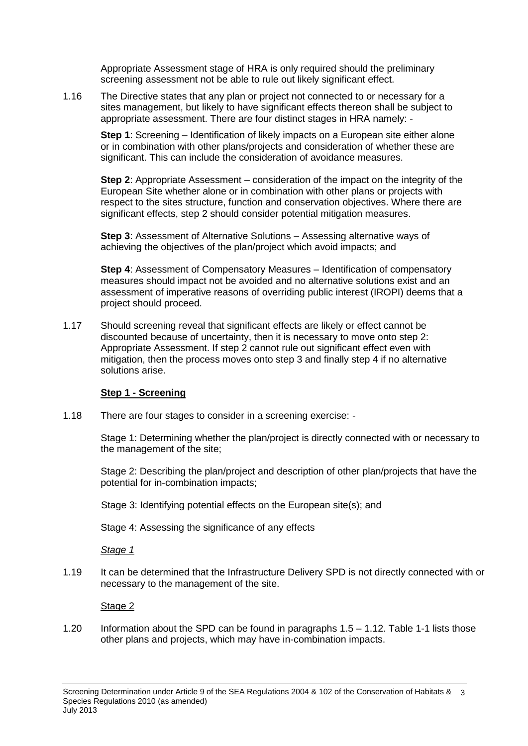Appropriate Assessment stage of HRA is only required should the preliminary screening assessment not be able to rule out likely significant effect.

1.16 The Directive states that any plan or project not connected to or necessary for a sites management, but likely to have significant effects thereon shall be subject to appropriate assessment. There are four distinct stages in HRA namely: -

**Step 1**: Screening – Identification of likely impacts on a European site either alone or in combination with other plans/projects and consideration of whether these are significant. This can include the consideration of avoidance measures.

**Step 2**: Appropriate Assessment – consideration of the impact on the integrity of the European Site whether alone or in combination with other plans or projects with respect to the sites structure, function and conservation objectives. Where there are significant effects, step 2 should consider potential mitigation measures.

**Step 3**: Assessment of Alternative Solutions – Assessing alternative ways of achieving the objectives of the plan/project which avoid impacts; and

**Step 4**: Assessment of Compensatory Measures – Identification of compensatory measures should impact not be avoided and no alternative solutions exist and an assessment of imperative reasons of overriding public interest (IROPI) deems that a project should proceed.

1.17 Should screening reveal that significant effects are likely or effect cannot be discounted because of uncertainty, then it is necessary to move onto step 2: Appropriate Assessment. If step 2 cannot rule out significant effect even with mitigation, then the process moves onto step 3 and finally step 4 if no alternative solutions arise.

## **Step 1 - Screening**

1.18 There are four stages to consider in a screening exercise: -

Stage 1: Determining whether the plan/project is directly connected with or necessary to the management of the site;

Stage 2: Describing the plan/project and description of other plan/projects that have the potential for in-combination impacts;

Stage 3: Identifying potential effects on the European site(s); and

Stage 4: Assessing the significance of any effects

*Stage 1*

1.19 It can be determined that the Infrastructure Delivery SPD is not directly connected with or necessary to the management of the site.

Stage 2

1.20 Information about the SPD can be found in paragraphs 1.5 – 1.12. Table 1-1 lists those other plans and projects, which may have in-combination impacts.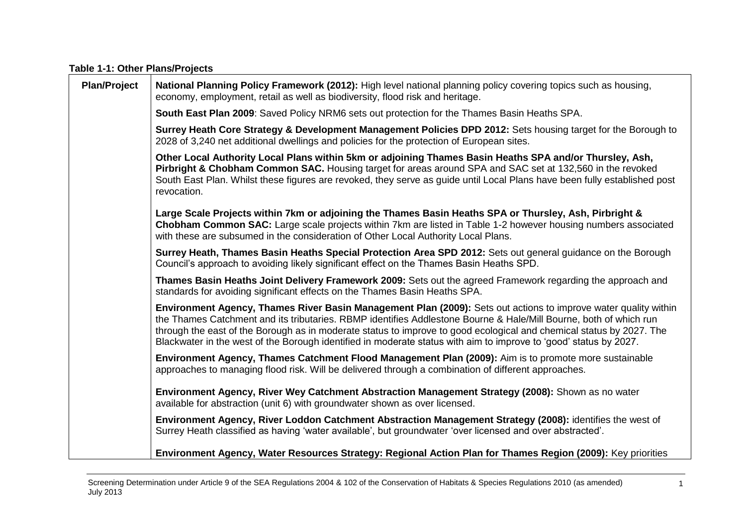#### **Table 1-1: Other Plans/Projects**

| <b>Plan/Project</b> | National Planning Policy Framework (2012): High level national planning policy covering topics such as housing,<br>economy, employment, retail as well as biodiversity, flood risk and heritage.                                                                                                                                                                                                                                                                                  |
|---------------------|-----------------------------------------------------------------------------------------------------------------------------------------------------------------------------------------------------------------------------------------------------------------------------------------------------------------------------------------------------------------------------------------------------------------------------------------------------------------------------------|
|                     | South East Plan 2009: Saved Policy NRM6 sets out protection for the Thames Basin Heaths SPA.                                                                                                                                                                                                                                                                                                                                                                                      |
|                     | Surrey Heath Core Strategy & Development Management Policies DPD 2012: Sets housing target for the Borough to<br>2028 of 3,240 net additional dwellings and policies for the protection of European sites.                                                                                                                                                                                                                                                                        |
|                     | Other Local Authority Local Plans within 5km or adjoining Thames Basin Heaths SPA and/or Thursley, Ash,<br>Pirbright & Chobham Common SAC. Housing target for areas around SPA and SAC set at 132,560 in the revoked<br>South East Plan. Whilst these figures are revoked, they serve as guide until Local Plans have been fully established post<br>revocation.                                                                                                                  |
|                     | Large Scale Projects within 7km or adjoining the Thames Basin Heaths SPA or Thursley, Ash, Pirbright &<br>Chobham Common SAC: Large scale projects within 7km are listed in Table 1-2 however housing numbers associated<br>with these are subsumed in the consideration of Other Local Authority Local Plans.                                                                                                                                                                    |
|                     | Surrey Heath, Thames Basin Heaths Special Protection Area SPD 2012: Sets out general guidance on the Borough<br>Council's approach to avoiding likely significant effect on the Thames Basin Heaths SPD.                                                                                                                                                                                                                                                                          |
|                     | Thames Basin Heaths Joint Delivery Framework 2009: Sets out the agreed Framework regarding the approach and<br>standards for avoiding significant effects on the Thames Basin Heaths SPA.                                                                                                                                                                                                                                                                                         |
|                     | Environment Agency, Thames River Basin Management Plan (2009): Sets out actions to improve water quality within<br>the Thames Catchment and its tributaries. RBMP identifies Addlestone Bourne & Hale/Mill Bourne, both of which run<br>through the east of the Borough as in moderate status to improve to good ecological and chemical status by 2027. The<br>Blackwater in the west of the Borough identified in moderate status with aim to improve to 'good' status by 2027. |
|                     | Environment Agency, Thames Catchment Flood Management Plan (2009): Aim is to promote more sustainable<br>approaches to managing flood risk. Will be delivered through a combination of different approaches.                                                                                                                                                                                                                                                                      |
|                     | Environment Agency, River Wey Catchment Abstraction Management Strategy (2008): Shown as no water<br>available for abstraction (unit 6) with groundwater shown as over licensed.                                                                                                                                                                                                                                                                                                  |
|                     | Environment Agency, River Loddon Catchment Abstraction Management Strategy (2008): identifies the west of<br>Surrey Heath classified as having 'water available', but groundwater 'over licensed and over abstracted'.                                                                                                                                                                                                                                                            |
|                     | Environment Agency, Water Resources Strategy: Regional Action Plan for Thames Region (2009): Key priorities                                                                                                                                                                                                                                                                                                                                                                       |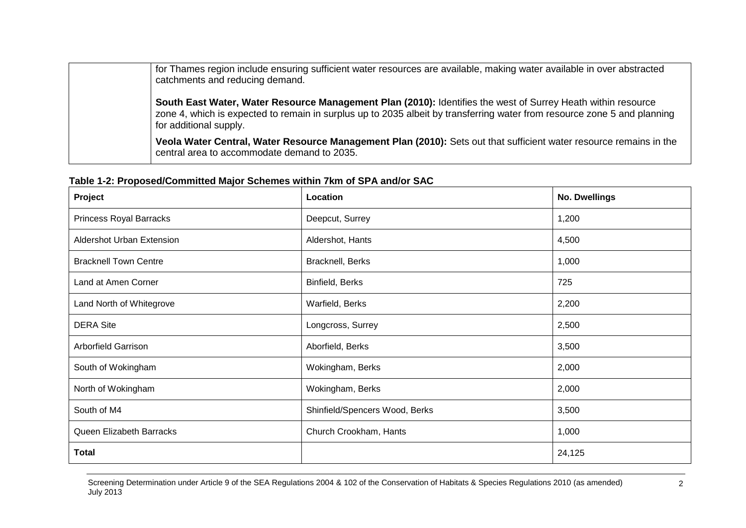| for Thames region include ensuring sufficient water resources are available, making water available in over abstracted<br>catchments and reducing demand.                                                                                                          |
|--------------------------------------------------------------------------------------------------------------------------------------------------------------------------------------------------------------------------------------------------------------------|
| South East Water, Water Resource Management Plan (2010): Identifies the west of Surrey Heath within resource<br>zone 4, which is expected to remain in surplus up to 2035 albeit by transferring water from resource zone 5 and planning<br>for additional supply. |
| Veola Water Central, Water Resource Management Plan (2010): Sets out that sufficient water resource remains in the<br>central area to accommodate demand to 2035.                                                                                                  |

| $1800$ T $\mu$ , Toposcaroonining major outching within right of or A analog one |                      |  |
|----------------------------------------------------------------------------------|----------------------|--|
| Location                                                                         | <b>No. Dwellings</b> |  |
| Deepcut, Surrey                                                                  | 1,200                |  |
| Aldershot, Hants                                                                 | 4,500                |  |
| Bracknell, Berks                                                                 | 1,000                |  |
| Binfield, Berks                                                                  | 725                  |  |
| Warfield, Berks                                                                  | 2,200                |  |
| Longcross, Surrey                                                                | 2,500                |  |
| Aborfield, Berks                                                                 | 3,500                |  |
| Wokingham, Berks                                                                 | 2,000                |  |
| Wokingham, Berks                                                                 | 2,000                |  |
| Shinfield/Spencers Wood, Berks                                                   | 3,500                |  |
| Church Crookham, Hants                                                           | 1,000                |  |
|                                                                                  | 24,125               |  |
|                                                                                  |                      |  |

## **Table 1-2: Proposed/Committed Major Schemes within 7km of SPA and/or SAC**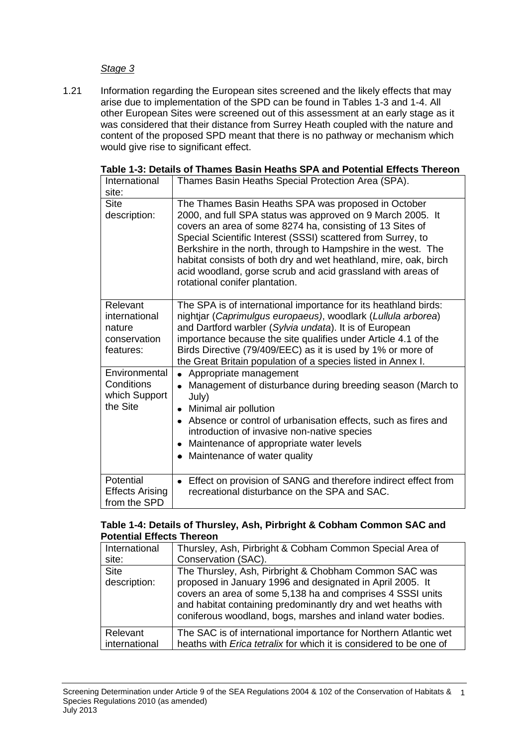#### *Stage 3*

1.21 Information regarding the European sites screened and the likely effects that may arise due to implementation of the SPD can be found in Tables 1-3 and 1-4. All other European Sites were screened out of this assessment at an early stage as it was considered that their distance from Surrey Heath coupled with the nature and content of the proposed SPD meant that there is no pathway or mechanism which would give rise to significant effect.

| International<br>site:                                           | Thames Basin Heaths Special Protection Area (SPA).                                                                                                                                                                                                                                                                                                                                                                                                                                   |
|------------------------------------------------------------------|--------------------------------------------------------------------------------------------------------------------------------------------------------------------------------------------------------------------------------------------------------------------------------------------------------------------------------------------------------------------------------------------------------------------------------------------------------------------------------------|
| <b>Site</b><br>description:                                      | The Thames Basin Heaths SPA was proposed in October<br>2000, and full SPA status was approved on 9 March 2005. It<br>covers an area of some 8274 ha, consisting of 13 Sites of<br>Special Scientific Interest (SSSI) scattered from Surrey, to<br>Berkshire in the north, through to Hampshire in the west. The<br>habitat consists of both dry and wet heathland, mire, oak, birch<br>acid woodland, gorse scrub and acid grassland with areas of<br>rotational conifer plantation. |
| Relevant<br>international<br>nature<br>conservation<br>features: | The SPA is of international importance for its heathland birds:<br>nightjar (Caprimulgus europaeus), woodlark (Lullula arborea)<br>and Dartford warbler (Sylvia undata). It is of European<br>importance because the site qualifies under Article 4.1 of the<br>Birds Directive (79/409/EEC) as it is used by 1% or more of<br>the Great Britain population of a species listed in Annex I.                                                                                          |
| Environmental<br>Conditions<br>which Support<br>the Site         | Appropriate management<br>Management of disturbance during breeding season (March to<br>$\bullet$<br>July)<br>Minimal air pollution<br>$\bullet$<br>Absence or control of urbanisation effects, such as fires and<br>introduction of invasive non-native species<br>Maintenance of appropriate water levels<br>$\bullet$<br>Maintenance of water quality                                                                                                                             |
| Potential<br><b>Effects Arising</b><br>from the SPD              | • Effect on provision of SANG and therefore indirect effect from<br>recreational disturbance on the SPA and SAC.                                                                                                                                                                                                                                                                                                                                                                     |

|  |  |  |  | Table 1-3: Details of Thames Basin Heaths SPA and Potential Effects Thereon |  |  |  |  |
|--|--|--|--|-----------------------------------------------------------------------------|--|--|--|--|
|--|--|--|--|-----------------------------------------------------------------------------|--|--|--|--|

#### **Table 1-4: Details of Thursley, Ash, Pirbright & Cobham Common SAC and Potential Effects Thereon**

| International               | Thursley, Ash, Pirbright & Cobham Common Special Area of                                                                                                                                                                                         |  |
|-----------------------------|--------------------------------------------------------------------------------------------------------------------------------------------------------------------------------------------------------------------------------------------------|--|
| site:                       | Conservation (SAC).                                                                                                                                                                                                                              |  |
| <b>Site</b><br>description: | The Thursley, Ash, Pirbright & Chobham Common SAC was<br>proposed in January 1996 and designated in April 2005. It<br>covers an area of some 5,138 ha and comprises 4 SSSI units<br>and habitat containing predominantly dry and wet heaths with |  |
|                             | coniferous woodland, bogs, marshes and inland water bodies.                                                                                                                                                                                      |  |
| Relevant                    | The SAC is of international importance for Northern Atlantic wet                                                                                                                                                                                 |  |
| international               | heaths with <i>Erica tetralix</i> for which it is considered to be one of                                                                                                                                                                        |  |
|                             |                                                                                                                                                                                                                                                  |  |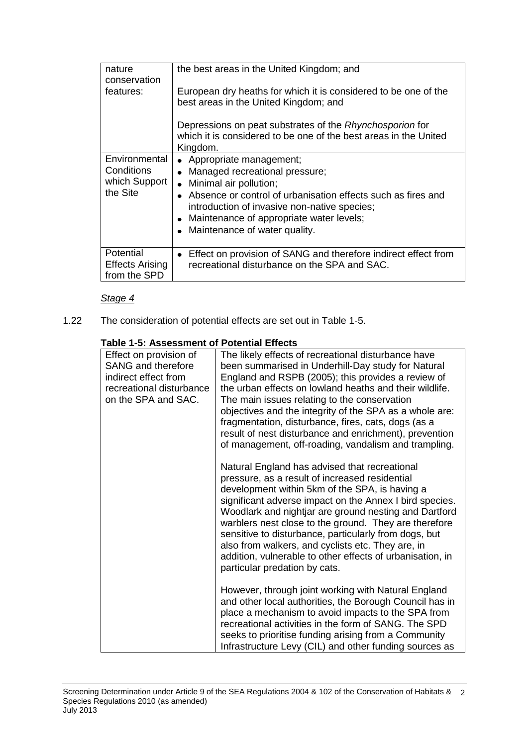| nature<br>conservation<br>features:                      | the best areas in the United Kingdom; and<br>European dry heaths for which it is considered to be one of the<br>best areas in the United Kingdom; and<br>Depressions on peat substrates of the Rhynchosporion for<br>which it is considered to be one of the best areas in the United<br>Kingdom. |
|----------------------------------------------------------|---------------------------------------------------------------------------------------------------------------------------------------------------------------------------------------------------------------------------------------------------------------------------------------------------|
| Environmental<br>Conditions<br>which Support<br>the Site | • Appropriate management;<br>Managed recreational pressure;<br>Minimal air pollution;<br>Absence or control of urbanisation effects such as fires and<br>introduction of invasive non-native species;<br>• Maintenance of appropriate water levels;<br>• Maintenance of water quality.            |
| Potential<br><b>Effects Arising</b><br>from the SPD      | Effect on provision of SANG and therefore indirect effect from<br>$\bullet$<br>recreational disturbance on the SPA and SAC.                                                                                                                                                                       |

## *Stage 4*

1.22 The consideration of potential effects are set out in Table 1-5.

#### **Table 1-5: Assessment of Potential Effects**

| Effect on provision of<br><b>SANG and therefore</b><br>indirect effect from<br>recreational disturbance<br>on the SPA and SAC. | The likely effects of recreational disturbance have<br>been summarised in Underhill-Day study for Natural<br>England and RSPB (2005); this provides a review of<br>the urban effects on lowland heaths and their wildlife.<br>The main issues relating to the conservation<br>objectives and the integrity of the SPA as a whole are:<br>fragmentation, disturbance, fires, cats, dogs (as a<br>result of nest disturbance and enrichment), prevention<br>of management, off-roading, vandalism and trampling.                             |
|--------------------------------------------------------------------------------------------------------------------------------|--------------------------------------------------------------------------------------------------------------------------------------------------------------------------------------------------------------------------------------------------------------------------------------------------------------------------------------------------------------------------------------------------------------------------------------------------------------------------------------------------------------------------------------------|
|                                                                                                                                | Natural England has advised that recreational<br>pressure, as a result of increased residential<br>development within 5km of the SPA, is having a<br>significant adverse impact on the Annex I bird species.<br>Woodlark and nightjar are ground nesting and Dartford<br>warblers nest close to the ground. They are therefore<br>sensitive to disturbance, particularly from dogs, but<br>also from walkers, and cyclists etc. They are, in<br>addition, vulnerable to other effects of urbanisation, in<br>particular predation by cats. |
|                                                                                                                                | However, through joint working with Natural England<br>and other local authorities, the Borough Council has in<br>place a mechanism to avoid impacts to the SPA from<br>recreational activities in the form of SANG. The SPD<br>seeks to prioritise funding arising from a Community<br>Infrastructure Levy (CIL) and other funding sources as                                                                                                                                                                                             |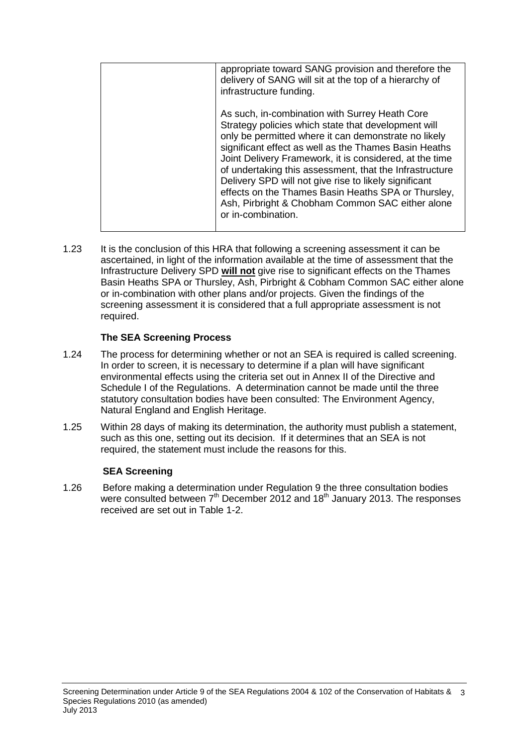| appropriate toward SANG provision and therefore the<br>delivery of SANG will sit at the top of a hierarchy of<br>infrastructure funding.                                                                                                                                                                                                                                                                                                                                                                                               |
|----------------------------------------------------------------------------------------------------------------------------------------------------------------------------------------------------------------------------------------------------------------------------------------------------------------------------------------------------------------------------------------------------------------------------------------------------------------------------------------------------------------------------------------|
| As such, in-combination with Surrey Heath Core<br>Strategy policies which state that development will<br>only be permitted where it can demonstrate no likely<br>significant effect as well as the Thames Basin Heaths<br>Joint Delivery Framework, it is considered, at the time<br>of undertaking this assessment, that the Infrastructure<br>Delivery SPD will not give rise to likely significant<br>effects on the Thames Basin Heaths SPA or Thursley,<br>Ash, Pirbright & Chobham Common SAC either alone<br>or in-combination. |
|                                                                                                                                                                                                                                                                                                                                                                                                                                                                                                                                        |

1.23 It is the conclusion of this HRA that following a screening assessment it can be ascertained, in light of the information available at the time of assessment that the Infrastructure Delivery SPD **will not** give rise to significant effects on the Thames Basin Heaths SPA or Thursley, Ash, Pirbright & Cobham Common SAC either alone or in-combination with other plans and/or projects. Given the findings of the screening assessment it is considered that a full appropriate assessment is not required.

## **The SEA Screening Process**

- 1.24 The process for determining whether or not an SEA is required is called screening. In order to screen, it is necessary to determine if a plan will have significant environmental effects using the criteria set out in Annex II of the Directive and Schedule I of the Regulations. A determination cannot be made until the three statutory consultation bodies have been consulted: The Environment Agency, Natural England and English Heritage.
- 1.25 Within 28 days of making its determination, the authority must publish a statement, such as this one, setting out its decision. If it determines that an SEA is not required, the statement must include the reasons for this.

## **SEA Screening**

1.26 Before making a determination under Regulation 9 the three consultation bodies were consulted between  $7<sup>th</sup>$  December 2012 and 18<sup>th</sup> January 2013. The responses received are set out in Table 1-2.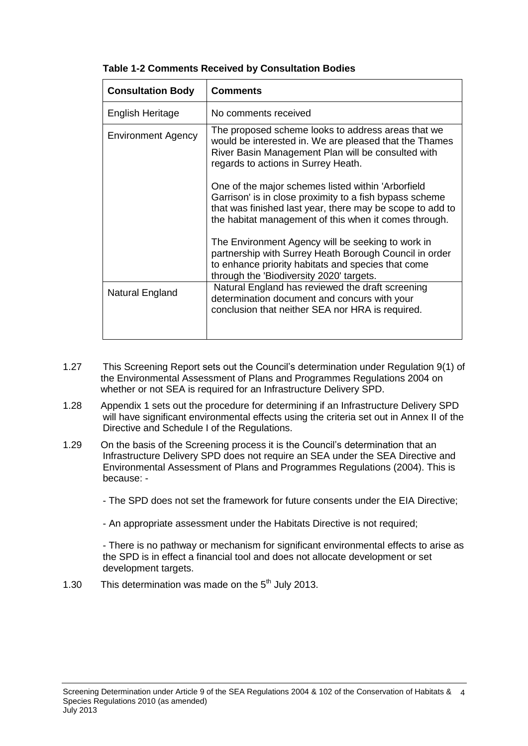| <b>Consultation Body</b>  | <b>Comments</b>                                                                                                                                                                                                                     |
|---------------------------|-------------------------------------------------------------------------------------------------------------------------------------------------------------------------------------------------------------------------------------|
| English Heritage          | No comments received                                                                                                                                                                                                                |
| <b>Environment Agency</b> | The proposed scheme looks to address areas that we<br>would be interested in. We are pleased that the Thames<br>River Basin Management Plan will be consulted with<br>regards to actions in Surrey Heath.                           |
|                           | One of the major schemes listed within 'Arborfield<br>Garrison' is in close proximity to a fish bypass scheme<br>that was finished last year, there may be scope to add to<br>the habitat management of this when it comes through. |
|                           | The Environment Agency will be seeking to work in<br>partnership with Surrey Heath Borough Council in order<br>to enhance priority habitats and species that come<br>through the 'Biodiversity 2020' targets.                       |
| Natural England           | Natural England has reviewed the draft screening<br>determination document and concurs with your<br>conclusion that neither SEA nor HRA is required.                                                                                |

## **Table 1-2 Comments Received by Consultation Bodies**

- 1.27 This Screening Report sets out the Council's determination under Regulation 9(1) of the Environmental Assessment of Plans and Programmes Regulations 2004 on whether or not SEA is required for an Infrastructure Delivery SPD.
- 1.28 Appendix 1 sets out the procedure for determining if an Infrastructure Delivery SPD will have significant environmental effects using the criteria set out in Annex II of the Directive and Schedule I of the Regulations.
- 1.29 On the basis of the Screening process it is the Council's determination that an Infrastructure Delivery SPD does not require an SEA under the SEA Directive and Environmental Assessment of Plans and Programmes Regulations (2004). This is because: -

- The SPD does not set the framework for future consents under the EIA Directive;

- An appropriate assessment under the Habitats Directive is not required;

- There is no pathway or mechanism for significant environmental effects to arise as the SPD is in effect a financial tool and does not allocate development or set development targets.

1.30 This determination was made on the  $5<sup>th</sup>$  July 2013.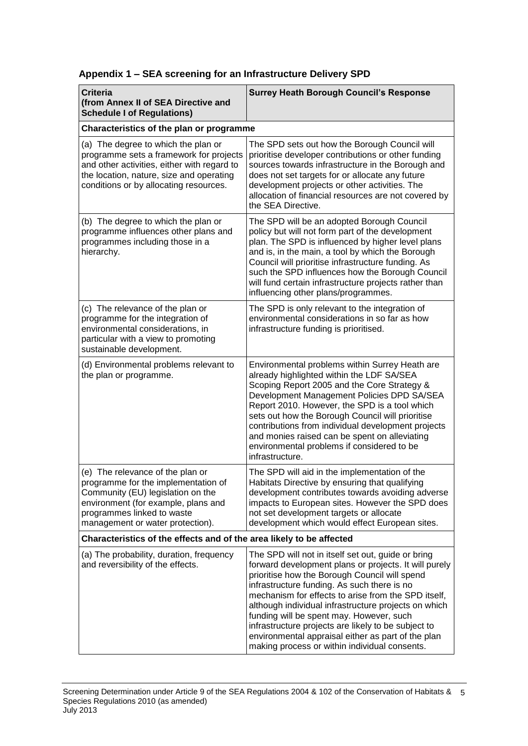| <b>Criteria</b><br>(from Annex II of SEA Directive and<br><b>Schedule I of Regulations)</b>                                                                                                                           | <b>Surrey Heath Borough Council's Response</b>                                                                                                                                                                                                                                                                                                                                                                                                                                                                                       |  |  |
|-----------------------------------------------------------------------------------------------------------------------------------------------------------------------------------------------------------------------|--------------------------------------------------------------------------------------------------------------------------------------------------------------------------------------------------------------------------------------------------------------------------------------------------------------------------------------------------------------------------------------------------------------------------------------------------------------------------------------------------------------------------------------|--|--|
| Characteristics of the plan or programme                                                                                                                                                                              |                                                                                                                                                                                                                                                                                                                                                                                                                                                                                                                                      |  |  |
| (a) The degree to which the plan or<br>programme sets a framework for projects<br>and other activities, either with regard to<br>the location, nature, size and operating<br>conditions or by allocating resources.   | The SPD sets out how the Borough Council will<br>prioritise developer contributions or other funding<br>sources towards infrastructure in the Borough and<br>does not set targets for or allocate any future<br>development projects or other activities. The<br>allocation of financial resources are not covered by<br>the SEA Directive.                                                                                                                                                                                          |  |  |
| (b) The degree to which the plan or<br>programme influences other plans and<br>programmes including those in a<br>hierarchy.                                                                                          | The SPD will be an adopted Borough Council<br>policy but will not form part of the development<br>plan. The SPD is influenced by higher level plans<br>and is, in the main, a tool by which the Borough<br>Council will prioritise infrastructure funding. As<br>such the SPD influences how the Borough Council<br>will fund certain infrastructure projects rather than<br>influencing other plans/programmes.                                                                                                                     |  |  |
| (c) The relevance of the plan or<br>programme for the integration of<br>environmental considerations, in<br>particular with a view to promoting<br>sustainable development.                                           | The SPD is only relevant to the integration of<br>environmental considerations in so far as how<br>infrastructure funding is prioritised.                                                                                                                                                                                                                                                                                                                                                                                            |  |  |
| (d) Environmental problems relevant to<br>the plan or programme.                                                                                                                                                      | Environmental problems within Surrey Heath are<br>already highlighted within the LDF SA/SEA<br>Scoping Report 2005 and the Core Strategy &<br>Development Management Policies DPD SA/SEA<br>Report 2010. However, the SPD is a tool which<br>sets out how the Borough Council will prioritise<br>contributions from individual development projects<br>and monies raised can be spent on alleviating<br>environmental problems if considered to be<br>infrastructure.                                                                |  |  |
| (e) The relevance of the plan or<br>programme for the implementation of<br>Community (EU) legislation on the<br>environment (for example, plans and<br>programmes linked to waste<br>management or water protection). | The SPD will aid in the implementation of the<br>Habitats Directive by ensuring that qualifying<br>development contributes towards avoiding adverse<br>impacts to European sites. However the SPD does<br>not set development targets or allocate<br>development which would effect European sites.                                                                                                                                                                                                                                  |  |  |
| Characteristics of the effects and of the area likely to be affected                                                                                                                                                  |                                                                                                                                                                                                                                                                                                                                                                                                                                                                                                                                      |  |  |
| (a) The probability, duration, frequency<br>and reversibility of the effects.                                                                                                                                         | The SPD will not in itself set out, guide or bring<br>forward development plans or projects. It will purely<br>prioritise how the Borough Council will spend<br>infrastructure funding. As such there is no<br>mechanism for effects to arise from the SPD itself,<br>although individual infrastructure projects on which<br>funding will be spent may. However, such<br>infrastructure projects are likely to be subject to<br>environmental appraisal either as part of the plan<br>making process or within individual consents. |  |  |

## **Appendix 1 – SEA screening for an Infrastructure Delivery SPD**